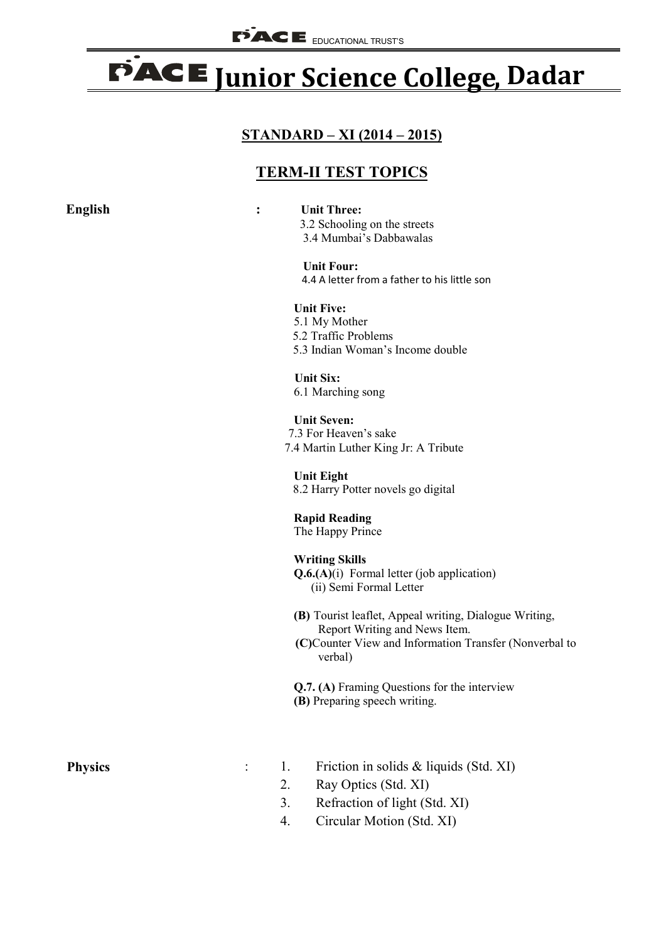## PACE Junior Science College, Dadar

## **STANDARD – XI (2014 – 2015)**

## **TERM-II TEST TOPICS**

| <b>English</b> | <b>Unit Three:</b><br>$\ddot{\cdot}$<br>3.2 Schooling on the streets<br>3.4 Mumbai's Dabbawalas                                                              |
|----------------|--------------------------------------------------------------------------------------------------------------------------------------------------------------|
|                | <b>Unit Four:</b><br>4.4 A letter from a father to his little son                                                                                            |
|                | <b>Unit Five:</b><br>5.1 My Mother<br>5.2 Traffic Problems<br>5.3 Indian Woman's Income double                                                               |
|                | <b>Unit Six:</b><br>6.1 Marching song                                                                                                                        |
|                | <b>Unit Seven:</b><br>7.3 For Heaven's sake<br>7.4 Martin Luther King Jr: A Tribute                                                                          |
|                | <b>Unit Eight</b><br>8.2 Harry Potter novels go digital                                                                                                      |
|                | <b>Rapid Reading</b><br>The Happy Prince                                                                                                                     |
|                | <b>Writing Skills</b><br>$Q.6(A)(i)$ Formal letter (job application)<br>(ii) Semi Formal Letter                                                              |
|                | (B) Tourist leaflet, Appeal writing, Dialogue Writing,<br>Report Writing and News Item.<br>(C)Counter View and Information Transfer (Nonverbal to<br>verbal) |
|                | Q.7. (A) Framing Questions for the interview<br>(B) Preparing speech writing.                                                                                |
| <b>Physics</b> | 1.<br>Friction in solids $&$ liquids (Std. XI)                                                                                                               |

- 2. Ray Optics (Std. XI)
- 3. Refraction of light (Std. XI)
- 4. Circular Motion (Std. XI)